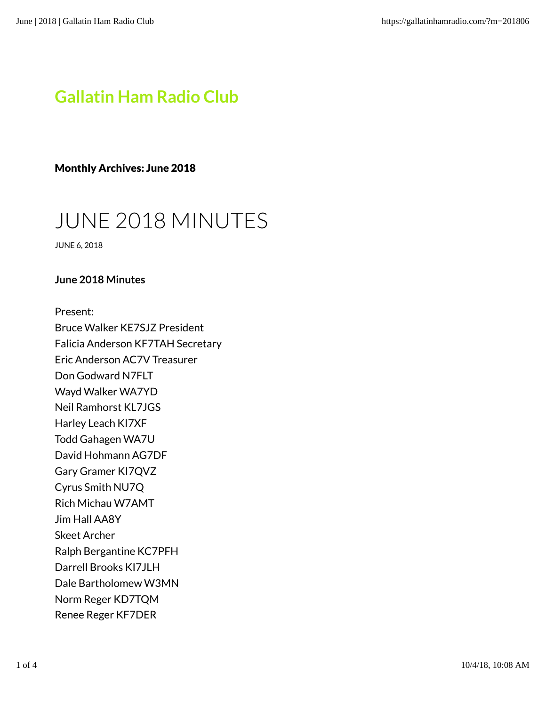## Gallatin Ham Radio Club

Monthly Archives: June 2018

# JUNE 2018 MINUTES

JUNE 6, 2018

#### June 2018 Minutes

Present:

Bruce Walker KE7SJZ President Falicia Anderson KF7TAH Secretary Eric Anderson AC7V Treasurer Don Godward N7FLT Wayd Walker WA7YD Neil Ramhorst KL7JGS Harley Leach KI7XF Todd Gahagen WA7U David Hohmann AG7DF Gary Gramer KI7QVZ Cyrus Smith NU7Q Rich Michau W7AMT Jim Hall AA8Y Skeet Archer Ralph Bergantine KC7PFH Darrell Brooks KI7JLH Dale Bartholomew W3MN Norm Reger KD7TQM Renee Reger KF7DER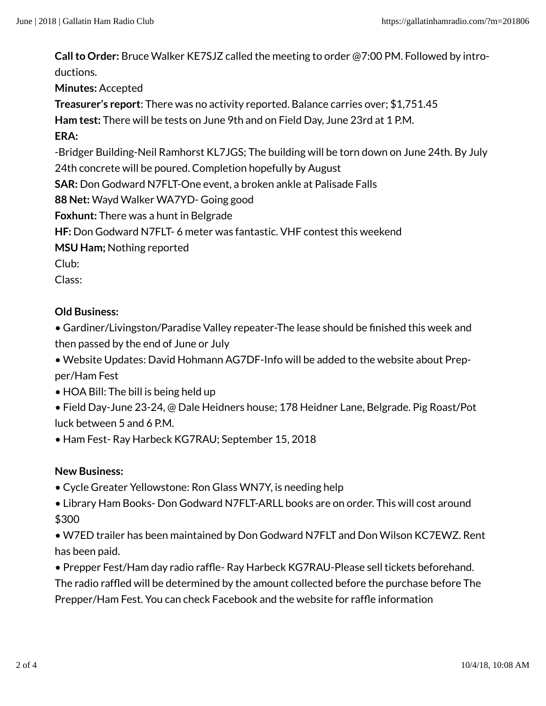Call to Order: Bruce Walker KE7SJZ called the meeting to order @7:00 PM. Followed by introductions.

Minutes: Accepted

Treasurer's report: There was no activity reported. Balance carries over; \$1,751.45

Ham test: There will be tests on June 9th and on Field Day, June 23rd at 1 P.M.

#### ERA:

-Bridger Building-Neil Ramhorst KL7JGS; The building will be torn down on June 24th. By July

24th concrete will be poured. Completion hopefully by August

SAR: Don Godward N7FLT-One event, a broken ankle at Palisade Falls

88 Net: Wayd Walker WA7YD- Going good

Foxhunt: There was a hunt in Belgrade

HF: Don Godward N7FLT- 6 meter was fantastic. VHF contest this weekend

MSU Ham; Nothing reported

Club:

Class:

### Old Business:

• Gardiner/Livingston/Paradise Valley repeater-The lease should be finished this week and then passed by the end of June or July

• Website Updates: David Hohmann AG7DF-Info will be added to the website about Prepper/Ham Fest

• HOA Bill: The bill is being held up

• Field Day-June 23-24, @ Dale Heidners house; 178 Heidner Lane, Belgrade. Pig Roast/Pot luck between 5 and 6 P.M.

• Ham Fest- Ray Harbeck KG7RAU; September 15, 2018

#### New Business:

- Cycle Greater Yellowstone: Ron Glass WN7Y, is needing help
- Library Ham Books- Don Godward N7FLT-ARLL books are on order. This will cost around \$300

• W7ED trailer has been maintained by Don Godward N7FLT and Don Wilson KC7EWZ. Rent has been paid.

• Prepper Fest/Ham day radio raffle- Ray Harbeck KG7RAU-Please sell tickets beforehand.

The radio raffled will be determined by the amount collected before the purchase before The Prepper/Ham Fest. You can check Facebook and the website for raffle information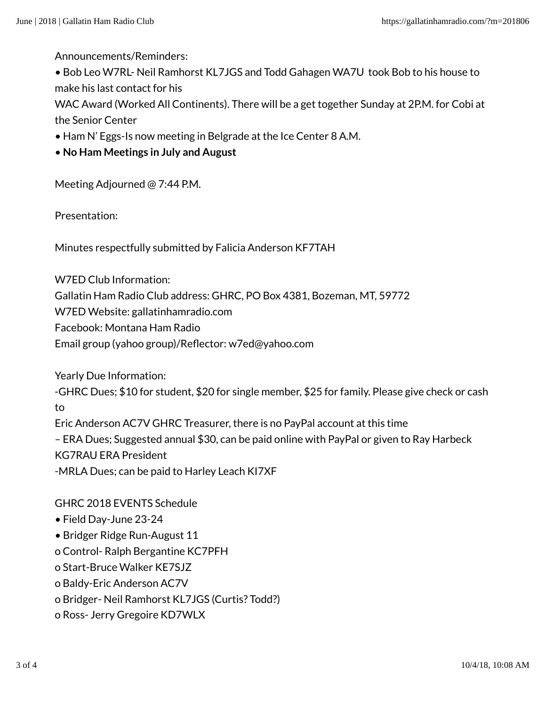Announcements/Reminders:

• Bob Leo W7RL- Neil Ramhorst KL7JGS and Todd Gahagen WA7U took Bob to his house to make his last contact for his

WAC Award (Worked All Continents). There will be a get together Sunday at 2P.M. for Cobi at the Senior Center

- Ham N' Eggs-Is now meeting in Belgrade at the Ice Center 8 A.M.
- No Ham Meetings in July and August

Meeting Adjourned @ 7:44 P.M.

Presentation:

Minutes respectfully submitted by Falicia Anderson KF7TAH

W7ED Club Information:

Gallatin Ham Radio Club address: GHRC, PO Box 4381, Bozeman, MT, 59772

W7ED Website: gallatinhamradio.com

Facebook: Montana Ham Radio

Email group (yahoo group)/Reflector: w7ed@yahoo.com

Yearly Due Information:

-GHRC Dues; \$10 for student, \$20 for single member, \$25 for family. Please give check or cash to

Eric Anderson AC7V GHRC Treasurer, there is no PayPal account at this time – ERA Dues; Suggested annual \$30, can be paid online with PayPal or given to Ray Harbeck KG7RAU ERA President -MRLA Dues; can be paid to Harley Leach KI7XF

GHRC 2018 EVENTS Schedule

- Field Day-June 23-24
- Bridger Ridge Run-August 11

o Control- Ralph Bergantine KC7PFH

o Start-Bruce Walker KE7SJZ

o Baldy-Eric Anderson AC7V

o Bridger- Neil Ramhorst KL7JGS (Curtis? Todd?)

o Ross- Jerry Gregoire KD7WLX